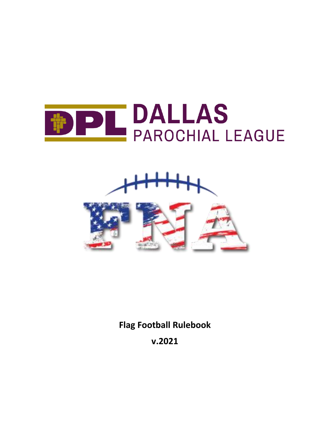





**Flag Football Rulebook**

**v.2021**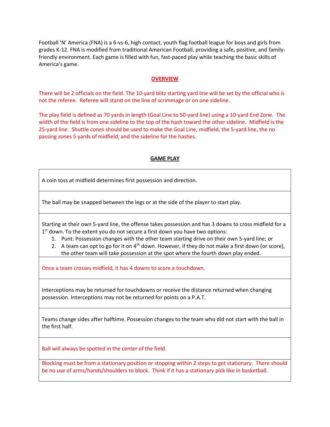Football 'N' America (FNA) is a 6-vs-6, high contact, youth flag football league for boys and girls from grades K-12. FNA is modified from traditional American Football, providing a safe, positive, and familyfriendly environment. Each game is filled with fun, fast-paced play while teaching the basic skills of America's game.

## **OVERVIEW**

There will be 2 officials on the field. The 10-yard blitz starting yard line will be set by the official who is not the referee. Referee will stand on the line of scrimmage or on one sideline.

The play field is defined as 70 yards in length (Goal Line to 50-yard line) using a 10-yard End Zone. The width of the field is from one sideline to the top of the hash toward the other sideline. Midfield is the 25-yard line. Shuttle cones should be used to make the Goal Line, midfield, the 5-yard line, the no passing zones 5 yards of midfield, and the sideline for the hashes.

# **GAME PLAY**

A coin toss at midfield determines first possession and direction.

The ball may be snapped between the legs or at the side of the player to start play.

Starting at their own 5-yard line, the offense takes possession and has 3 downs to cross midfield for a 1<sup>st</sup> down. To the extent you do not secure a first down you have two options:

- 1. Punt: Possession changes with the other team starting drive on their own 5-yard line; or
- 2. A team can opt to go for it on  $4<sup>th</sup>$  down. However, if they do not make a first down (or score),
	- the other team will take possession at the spot where the fourth down play ended.

Once a team crosses midfield, it has 4 downs to score a touchdown.

Interceptions may be returned for touchdowns or receive the distance returned when changing possession. Interceptions may not be returned for points on a P.A.T.

Teams change sides after halftime. Possession changes to the team who did not start with the ball in the first half.

Ball will always be spotted in the center of the field.

Blocking must be from a stationary position or stopping within 2 steps to get stationary. There should be no use of arms/hands/shoulders to block. Think if it has a stationary pick like in basketball.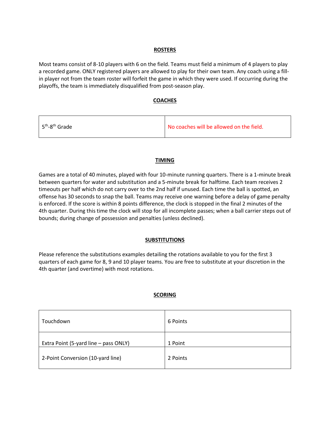# **ROSTERS**

Most teams consist of 8-10 players with 6 on the field. Teams must field a minimum of 4 players to play a recorded game. ONLY registered players are allowed to play for their own team. Any coach using a fillin player not from the team roster will forfeit the game in which they were used. If occurring during the playoffs, the team is immediately disqualified from post-season play.

# **COACHES**

| No coaches will be allowed on the field.<br>$\frac{1}{2}$ 5 <sup>th</sup> -8 <sup>th</sup> Grade |  |
|--------------------------------------------------------------------------------------------------|--|
|--------------------------------------------------------------------------------------------------|--|

# **TIMING**

Games are a total of 40 minutes, played with four 10-minute running quarters. There is a 1-minute break between quarters for water and substitution and a 5-minute break for halftime. Each team receives 2 timeouts per half which do not carry over to the 2nd half if unused. Each time the ball is spotted, an offense has 30 seconds to snap the ball. Teams may receive one warning before a delay of game penalty is enforced. If the score is within 8 points difference, the clock is stopped in the final 2 minutes of the 4th quarter. During this time the clock will stop for all incomplete passes; when a ball carrier steps out of bounds; during change of possession and penalties (unless declined).

# **SUBSTITUTIONS**

Please reference the substitutions examples detailing the rotations available to you for the first 3 quarters of each game for 8, 9 and 10 player teams. You are free to substitute at your discretion in the 4th quarter (and overtime) with most rotations.

# **SCORING**

| Touchdown                             | 6 Points |
|---------------------------------------|----------|
| Extra Point (5-yard line – pass ONLY) | 1 Point  |
| 2-Point Conversion (10-yard line)     | 2 Points |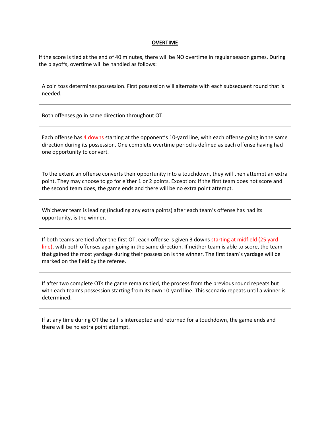## **OVERTIME**

If the score is tied at the end of 40 minutes, there will be NO overtime in regular season games. During the playoffs, overtime will be handled as follows:

A coin toss determines possession. First possession will alternate with each subsequent round that is needed.

Both offenses go in same direction throughout OT.

Each offense has 4 downs starting at the opponent's 10-yard line, with each offense going in the same direction during its possession. One complete overtime period is defined as each offense having had one opportunity to convert.

To the extent an offense converts their opportunity into a touchdown, they will then attempt an extra point. They may choose to go for either 1 or 2 points. Exception: If the first team does not score and the second team does, the game ends and there will be no extra point attempt.

Whichever team is leading (including any extra points) after each team's offense has had its opportunity, is the winner.

If both teams are tied after the first OT, each offense is given 3 downs starting at midfield (25 yardline), with both offenses again going in the same direction. If neither team is able to score, the team that gained the most yardage during their possession is the winner. The first team's yardage will be marked on the field by the referee.

If after two complete OTs the game remains tied, the process from the previous round repeats but with each team's possession starting from its own 10-yard line. This scenario repeats until a winner is determined.

If at any time during OT the ball is intercepted and returned for a touchdown, the game ends and there will be no extra point attempt.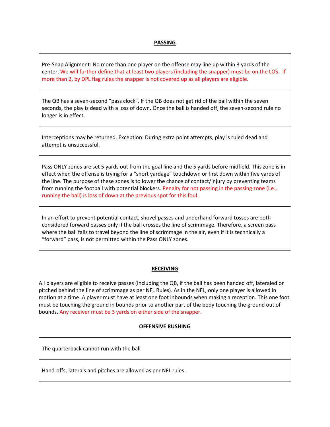# **PASSING**

Pre-Snap Alignment: No more than one player on the offense may line up within 3 yards of the center. We will further define that at least two players (including the snapper) must be on the LOS. If more than 2, by DPL flag rules the snapper is not covered up as all players are eligible.

The QB has a seven-second "pass clock". If the QB does not get rid of the ball within the seven seconds, the play is dead with a loss of down. Once the ball is handed off, the seven-second rule no longer is in effect.

Interceptions may be returned. Exception: During extra point attempts, play is ruled dead and attempt is unsuccessful.

Pass ONLY zones are set 5 yards out from the goal line and the 5 yards before midfield. This zone is in effect when the offense is trying for a "short yardage" touchdown or first down within five yards of the line. The purpose of these zones is to lower the chance of contact/injury by preventing teams from running the football with potential blockers. Penalty for not passing in the passing zone (i.e., running the ball) is loss of down at the previous spot for this foul.

In an effort to prevent potential contact, shovel passes and underhand forward tosses are both considered forward passes only if the ball crosses the line of scrimmage. Therefore, a screen pass where the ball fails to travel beyond the line of scrimmage in the air, even if it is technically a "forward" pass, is not permitted within the Pass ONLY zones.

#### **RECEIVING**

All players are eligible to receive passes (including the QB, if the ball has been handed off, lateraled or pitched behind the line of scrimmage as per NFL Rules). As in the NFL, only one player is allowed in motion at a time. A player must have at least one foot inbounds when making a reception. This one foot must be touching the ground in bounds prior to another part of the body touching the ground out of bounds. Any receiver must be 3 yards on either side of the snapper.

#### **OFFENSIVE RUSHING**

The quarterback cannot run with the ball

Hand-offs, laterals and pitches are allowed as per NFL rules.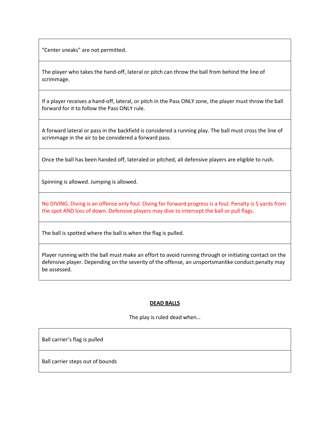"Center sneaks" are not permitted.

The player who takes the hand-off, lateral or pitch can throw the ball from behind the line of scrimmage.

If a player receives a hand-off, lateral, or pitch in the Pass ONLY zone, the player must throw the ball forward for it to follow the Pass ONLY rule.

A forward lateral or pass in the backfield is considered a running play. The ball must cross the line of scrimmage in the air to be considered a forward pass.

Once the ball has been handed off, lateraled or pitched, all defensive players are eligible to rush.

Spinning is allowed. Jumping is allowed.

No DIVING. Diving is an offense only foul. Diving for forward progress is a foul. Penalty is 5 yards from the spot AND loss of down. Defensive players may dive to intercept the ball or pull flags.

The ball is spotted where the ball is when the flag is pulled.

Player running with the ball must make an effort to avoid running through or initiating contact on the defensive player. Depending on the severity of the offense, an unsportsmanlike conduct penalty may be assessed.

#### **DEAD BALLS**

The play is ruled dead when…

Ball carrier's flag is pulled

Ball carrier steps out of bounds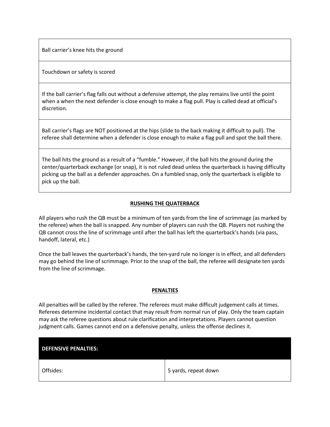Ball carrier's knee hits the ground

Touchdown or safety is scored

If the ball carrier's flag falls out without a defensive attempt, the play remains live until the point when a when the next defender is close enough to make a flag pull. Play is called dead at official's discretion.

Ball carrier's flags are NOT positioned at the hips (slide to the back making it difficult to pull). The referee shall determine when a defender is close enough to make a flag pull and spot the ball there.

The ball hits the ground as a result of a "fumble." However, if the ball hits the ground during the center/quarterback exchange (or snap), it is not ruled dead unless the quarterback is having difficulty picking up the ball as a defender approaches. On a fumbled snap, only the quarterback is eligible to pick up the ball.

## **RUSHING THE QUATERBACK**

All players who rush the QB must be a minimum of ten yards from the line of scrimmage (as marked by the referee) when the ball is snapped. Any number of players can rush the QB. Players not rushing the QB cannot cross the line of scrimmage until after the ball has left the quarterback's hands (via pass, handoff, lateral, etc.)

Once the ball leaves the quarterback's hands, the ten-yard rule no longer is in effect, and all defenders may go behind the line of scrimmage. Prior to the snap of the ball, the referee will designate ten yards from the line of scrimmage.

#### **PENALTIES**

All penalties will be called by the referee. The referees must make difficult judgement calls at times. Referees determine incidental contact that may result from normal run of play. Only the team captain may ask the referee questions about rule clarification and interpretations. Players cannot question judgment calls. Games cannot end on a defensive penalty, unless the offense declines it.

| <b>DEFENSIVE PENALTIES:</b> |                      |
|-----------------------------|----------------------|
| Offsides:                   | 5 yards, repeat down |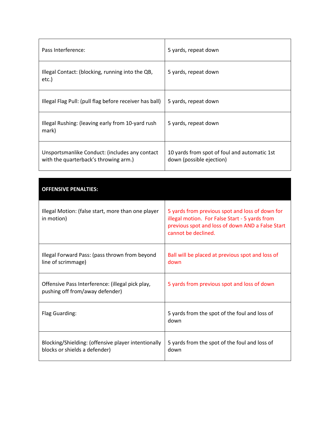| Pass Interference:                                                                      | 5 yards, repeat down                                                     |
|-----------------------------------------------------------------------------------------|--------------------------------------------------------------------------|
| Illegal Contact: (blocking, running into the QB,<br>etc.)                               | 5 yards, repeat down                                                     |
| Illegal Flag Pull: (pull flag before receiver has ball)                                 | 5 yards, repeat down                                                     |
| Illegal Rushing: (leaving early from 10-yard rush)<br>mark)                             | 5 yards, repeat down                                                     |
| Unsportsmanlike Conduct: (includes any contact<br>with the quarterback's throwing arm.) | 10 yards from spot of foul and automatic 1st<br>down (possible ejection) |

| <b>OFFENSIVE PENALTIES:</b>                                                          |                                                                                                                                                                              |
|--------------------------------------------------------------------------------------|------------------------------------------------------------------------------------------------------------------------------------------------------------------------------|
| Illegal Motion: (false start, more than one player<br>in motion)                     | 5 yards from previous spot and loss of down for<br>illegal motion. For False Start - 5 yards from<br>previous spot and loss of down AND a False Start<br>cannot be declined. |
| Illegal Forward Pass: (pass thrown from beyond<br>line of scrimmage)                 | Ball will be placed at previous spot and loss of<br>down                                                                                                                     |
| Offensive Pass Interference: (illegal pick play,<br>pushing off from/away defender)  | 5 yards from previous spot and loss of down                                                                                                                                  |
| Flag Guarding:                                                                       | 5 yards from the spot of the foul and loss of<br>down                                                                                                                        |
| Blocking/Shielding: (offensive player intentionally<br>blocks or shields a defender) | 5 yards from the spot of the foul and loss of<br>down                                                                                                                        |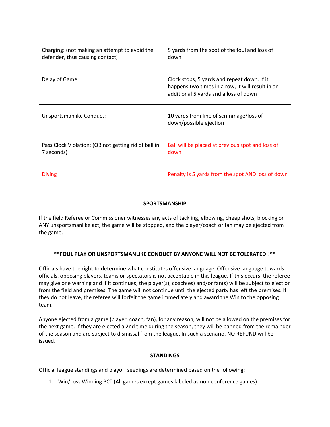| Charging: (not making an attempt to avoid the<br>defender, thus causing contact) | 5 yards from the spot of the foul and loss of<br>down                                                                                    |
|----------------------------------------------------------------------------------|------------------------------------------------------------------------------------------------------------------------------------------|
| Delay of Game:                                                                   | Clock stops, 5 yards and repeat down. If it<br>happens two times in a row, it will result in an<br>additional 5 yards and a loss of down |
| Unsportsmanlike Conduct:                                                         | 10 yards from line of scrimmage/loss of<br>down/possible ejection                                                                        |
| Pass Clock Violation: (QB not getting rid of ball in<br>7 seconds)               | Ball will be placed at previous spot and loss of<br>down                                                                                 |
| <b>Diving</b>                                                                    | Penalty is 5 yards from the spot AND loss of down                                                                                        |

# **SPORTSMANSHIP**

If the field Referee or Commissioner witnesses any acts of tackling, elbowing, cheap shots, blocking or ANY unsportsmanlike act, the game will be stopped, and the player/coach or fan may be ejected from the game.

# **\*\*FOUL PLAY OR UNSPORTSMANLIKE CONDUCT BY ANYONE WILL NOT BE TOLERATED!!\*\***

Officials have the right to determine what constitutes offensive language. Offensive language towards officials, opposing players, teams or spectators is not acceptable in this league. If this occurs, the referee may give one warning and if it continues, the player(s), coach(es) and/or fan(s) will be subject to ejection from the field and premises. The game will not continue until the ejected party has left the premises. If they do not leave, the referee will forfeit the game immediately and award the Win to the opposing team.

Anyone ejected from a game (player, coach, fan), for any reason, will not be allowed on the premises for the next game. If they are ejected a 2nd time during the season, they will be banned from the remainder of the season and are subject to dismissal from the league. In such a scenario, NO REFUND will be issued.

# **STANDINGS**

Official league standings and playoff seedings are determined based on the following:

1. Win/Loss Winning PCT (All games except games labeled as non-conference games)